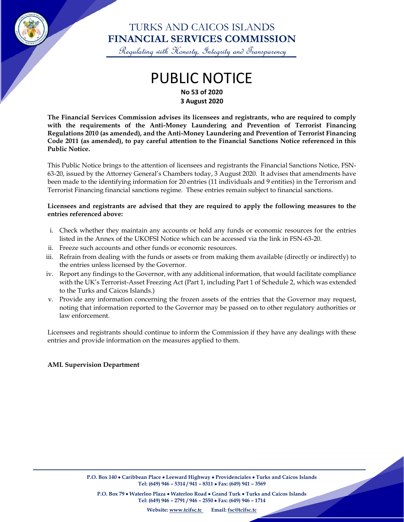

## TURKS AND CAICOS ISLANDS **FINANCIAL SERVICES COMMISSION**

Regulating with Honesty, Integrity and Transparency

## PUBLIC NOTICE **No 53 of 2020 3 August 2020**

**The Financial Services Commission advises its licensees and registrants, who are required to comply with the requirements of the Anti-Money Laundering and Prevention of Terrorist Financing Regulations 2010 (as amended), and the Anti-Money Laundering and Prevention of Terrorist Financing Code 2011 (as amended), to pay careful attention to the Financial Sanctions Notice referenced in this Public Notice.**

This Public Notice brings to the attention of licensees and registrants the Financial Sanctions Notice, FSN-63-20, issued by the Attorney General's Chambers today, 3 August 2020. It advises that amendments have been made to the identifying information for 20 entries (11 individuals and 9 entities) in the Terrorism and Terrorist Financing financial sanctions regime. These entries remain subject to financial sanctions.

#### **Licensees and registrants are advised that they are required to apply the following measures to the entries referenced above:**

- i. Check whether they maintain any accounts or hold any funds or economic resources for the entries listed in the Annex of the UKOFSI Notice which can be accessed via the link in FSN-63-20.
- ii. Freeze such accounts and other funds or economic resources.
- iii. Refrain from dealing with the funds or assets or from making them available (directly or indirectly) to the entries unless licensed by the Governor.
- iv. Report any findings to the Governor, with any additional information, that would facilitate compliance with the UK's Terrorist-Asset Freezing Act (Part 1, including Part 1 of Schedule 2, which was extended to the Turks and Caicos Islands.)
- v. Provide any information concerning the frozen assets of the entries that the Governor may request, noting that information reported to the Governor may be passed on to other regulatory authorities or law enforcement.

Licensees and registrants should continue to inform the Commission if they have any dealings with these entries and provide information on the measures applied to them.

#### **AML Supervision Department**